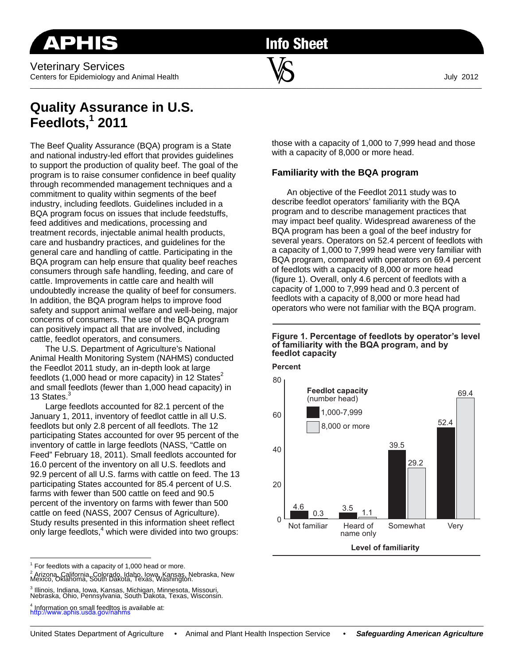Veterinary Services Centers for Epidemiology and Animal Health  $\blacksquare$   $\blacksquare$ 

**Info Sheet** 

\_\_\_\_\_\_\_\_\_\_\_\_\_\_\_\_\_\_\_\_\_\_\_\_\_\_\_\_\_\_\_\_\_\_\_\_\_\_\_\_\_\_\_\_\_\_\_\_\_\_\_\_\_\_\_\_\_\_\_\_\_\_\_\_\_\_\_\_\_\_\_\_\_\_\_\_\_\_\_\_\_\_\_\_\_\_\_\_\_\_\_\_\_\_\_\_\_\_\_\_\_\_\_\_\_\_\_\_\_\_\_\_\_\_\_\_\_\_\_\_\_

# **Quality Assurance in U.S. Feedlots,1 2011**

The Beef Quality Assurance (BQA) program is a State and national industry-led effort that provides guidelines to support the production of quality beef. The goal of the program is to raise consumer confidence in beef quality through recommended management techniques and a commitment to quality within segments of the beef industry, including feedlots. Guidelines included in a BQA program focus on issues that include feedstuffs, feed additives and medications, processing and treatment records, injectable animal health products, care and husbandry practices, and guidelines for the general care and handling of cattle. Participating in the BQA program can help ensure that quality beef reaches consumers through safe handling, feeding, and care of cattle. Improvements in cattle care and health will undoubtedly increase the quality of beef for consumers. In addition, the BQA program helps to improve food safety and support animal welfare and well-being, major concerns of consumers. The use of the BQA program can positively impact all that are involved, including cattle, feedlot operators, and consumers.

The U.S. Department of Agriculture's National Animal Health Monitoring System (NAHMS) conducted the Feedlot 2011 study, an in-depth look at large feedlots (1,000 head or more capacity) in 12 States<sup>2</sup> and small feedlots (fewer than 1,000 head capacity) in 13 States.

Large feedlots accounted for 82.1 percent of the January 1, 2011, inventory of feedlot cattle in all U.S. feedlots but only 2.8 percent of all feedlots. The 12 participating States accounted for over 95 percent of the inventory of cattle in large feedlots (NASS, "Cattle on Feed" February 18, 2011). Small feedlots accounted for 16.0 percent of the inventory on all U.S. feedlots and 92.9 percent of all U.S. farms with cattle on feed. The 13 participating States accounted for 85.4 percent of U.S. farms with fewer than 500 cattle on feed and 90.5 percent of the inventory on farms with fewer than 500 cattle on feed (NASS, 2007 Census of Agriculture). Study results presented in this information sheet reflect only large feedlots,<sup>4</sup> which were divided into two groups:

 $1$  For feedlots with a capacity of 1,000 head or more. <sup>2</sup> Arizona, California, Colorado, Idaho, Iowa, Kansas, Nebraska, New<br>Mexico, Oklahoma, South Dakota, Texas, Washington.

3 Illinois, Indiana, Iowa, Kansas, Michigan, Minnesota, Missouri, Nebraska, Ohio, Pennsylvania, South Dakota, Texas, Wisconsin.

4 Information on small feedltos is available at: http://www.aphis.usda.gov/nahms

those with a capacity of 1,000 to 7,999 head and those with a capacity of 8,000 or more head.

# **Familiarity with the BQA program**

An objective of the Feedlot 2011 study was to describe feedlot operators' familiarity with the BQA program and to describe management practices that may impact beef quality. Widespread awareness of the BQA program has been a goal of the beef industry for several years. Operators on 52.4 percent of feedlots with a capacity of 1,000 to 7,999 head were very familiar with BQA program, compared with operators on 69.4 percent of feedlots with a capacity of 8,000 or more head (figure 1). Overall, only 4.6 percent of feedlots with a capacity of 1,000 to 7,999 head and 0.3 percent of feedlots with a capacity of 8,000 or more head had operators who were not familiar with the BQA program.

#### **Figure 1. Percentage of feedlots by operator's level of familiarity with the BQA program, and by feedlot capacity**